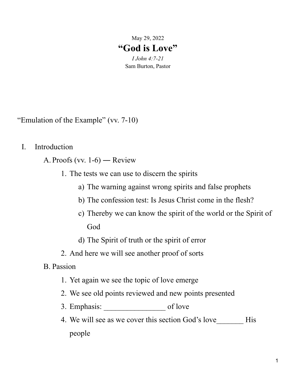## May 29, 2022 **"God is Love"** *I John 4:7-21*

Sam Burton, Pastor

"Emulation of the Example" (vv. 7-10)

I. Introduction

A. Proofs (vv.  $1-6$ ) — Review

- 1. The tests we can use to discern the spirits
	- a) The warning against wrong spirits and false prophets
	- b) The confession test: Is Jesus Christ come in the flesh?
	- c) Thereby we can know the spirit of the world or the Spirit of God
	- d) The Spirit of truth or the spirit of error
- 2. And here we will see another proof of sorts
- B. Passion
	- 1. Yet again we see the topic of love emerge
	- 2. We see old points reviewed and new points presented
	- 3. Emphasis: \_\_\_\_\_\_\_\_\_\_\_\_\_\_\_\_ of love
	- 4. We will see as we cover this section God's love His people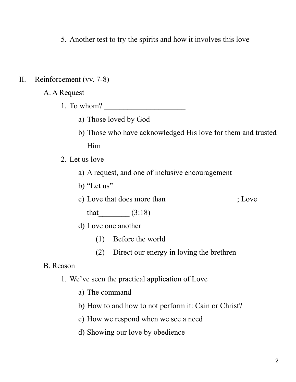5. Another test to try the spirits and how it involves this love

- II. Reinforcement (vv. 7-8)
	- A. A Request
		- 1. To whom?
			- a) Those loved by God
			- b) Those who have acknowledged His love for them and trusted Him
		- 2. Let us love
			- a) A request, and one of inclusive encouragement
			- b) "Let us"
			- c) Love that does more than  $\therefore$  Love that  $(3:18)$
			- d) Love one another
				- (1) Before the world
				- (2) Direct our energy in loving the brethren

#### B. Reason

- 1. We've seen the practical application of Love
	- a) The command
	- b) How to and how to not perform it: Cain or Christ?
	- c) How we respond when we see a need
	- d) Showing our love by obedience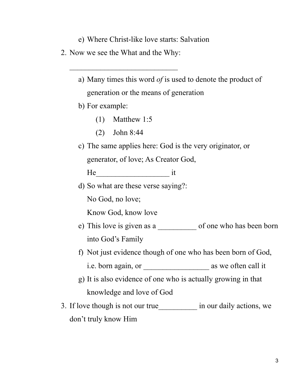e) Where Christ-like love starts: Salvation

2. Now we see the What and the Why:

 $\mathcal{L}_\text{max}$  , where  $\mathcal{L}_\text{max}$  , we are the set of the set of the set of the set of the set of the set of the set of the set of the set of the set of the set of the set of the set of the set of the set of the set of

| a) Many times this word of is used to denote the product of            |
|------------------------------------------------------------------------|
| generation or the means of generation                                  |
| b) For example:                                                        |
| $(1)$ Matthew 1:5                                                      |
| $(2)$ John 8:44                                                        |
| c) The same applies here: God is the very originator, or               |
| generator, of love; As Creator God,                                    |
|                                                                        |
| d) So what are these verse saying?:                                    |
| No God, no love;                                                       |
| Know God, know love                                                    |
| e) This love is given as a second-                                     |
| into God's Family                                                      |
| f) Not just evidence though of one who has been born of God,           |
|                                                                        |
| g) It is also evidence of one who is actually growing in that          |
| knowledge and love of God                                              |
| 3. If love though is not our true____________ in our daily actions, we |
| don't truly know Him                                                   |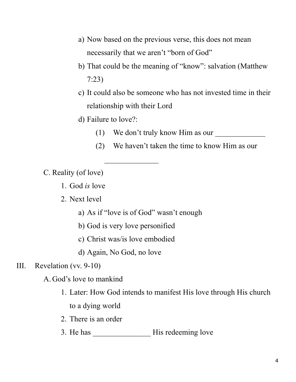- a) Now based on the previous verse, this does not mean necessarily that we aren't "born of God"
- b) That could be the meaning of "know": salvation (Matthew 7:23)
- c) It could also be someone who has not invested time in their relationship with their Lord
- d) Failure to love?:
	- (1) We don't truly know Him as our
	- (2) We haven't taken the time to know Him as our

C. Reality (of love)

1. God *is* love

## 2. Next level

- a) As if "love is of God" wasn't enough
- b) God is very love personified

 $\frac{1}{2}$ 

- c) Christ was/is love embodied
- d) Again, No God, no love

# III. Revelation (vv. 9-10)

A. God's love to mankind

- 1. Later: How God intends to manifest His love through His church to a dying world
- 2. There is an order
- 3. He has \_\_\_\_\_\_\_\_\_\_\_\_\_\_\_ His redeeming love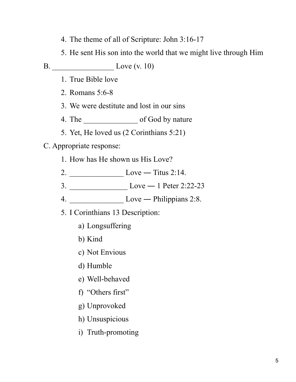- 4. The theme of all of Scripture: John 3:16-17
- 5. He sent His son into the world that we might live through Him
- B. \_\_\_\_\_\_\_\_\_\_\_\_\_\_\_\_ Love (v. 10)
	- 1. True Bible love
	- 2. Romans 5:6-8
	- 3. We were destitute and lost in our sins
	- 4. The \_\_\_\_\_\_\_\_\_\_\_\_\_\_ of God by nature
	- 5. Yet, He loved us (2 Corinthians 5:21)

## C. Appropriate response:

- 1. How has He shown us His Love?
- 2.  $\frac{\text{Love} \text{Titus } 2:14.}{\text{Love} \text{Titus } 2:14.}$
- 3. \_\_\_\_\_\_\_\_\_\_\_\_\_\_\_ Love ― 1 Peter 2:22-23
- 4.  $\frac{\text{Love}}{\text{Philippians 2:8}}$ .
- 5. I Corinthians 13 Description:
	- a) Longsuffering
	- b) Kind
	- c) Not Envious
	- d) Humble
	- e) Well-behaved
	- f) "Others first"
	- g) Unprovoked
	- h) Unsuspicious
	- i) Truth-promoting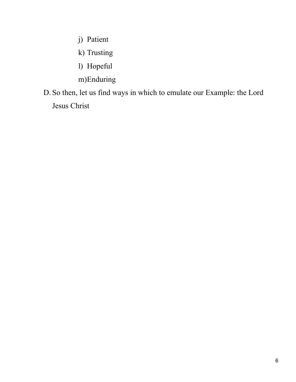- j) Patient
- k) Trusting
- l) Hopeful
- m)Enduring
- D. So then, let us find ways in which to emulate our Example: the Lord Jesus Christ